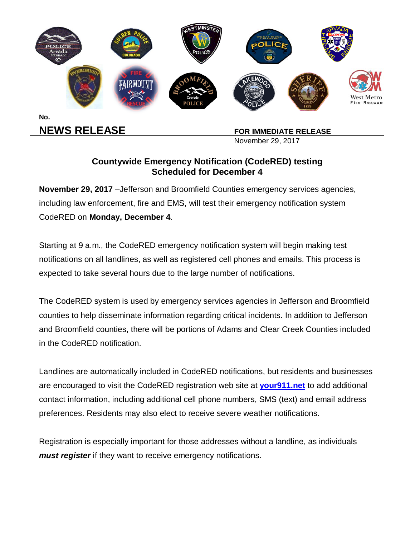

**NEWS RELEASE** FOR IMMEDIATE RELEASE

November 29, 2017

## **Countywide Emergency Notification (CodeRED) testing Scheduled for December 4**

**November 29, 2017** –Jefferson and Broomfield Counties emergency services agencies, including law enforcement, fire and EMS, will test their emergency notification system CodeRED on **Monday, December 4**.

Starting at 9 a.m., the CodeRED emergency notification system will begin making test notifications on all landlines, as well as registered cell phones and emails. This process is expected to take several hours due to the large number of notifications.

The CodeRED system is used by emergency services agencies in Jefferson and Broomfield counties to help disseminate information regarding critical incidents. In addition to Jefferson and Broomfield counties, there will be portions of Adams and Clear Creek Counties included in the CodeRED notification.

Landlines are automatically included in CodeRED notifications, but residents and businesses are encouraged to visit the CodeRED registration web site at **your911.net** to add additional contact information, including additional cell phone numbers, SMS (text) and email address preferences. Residents may also elect to receive severe weather notifications.

Registration is especially important for those addresses without a landline, as individuals *must register* if they want to receive emergency notifications.